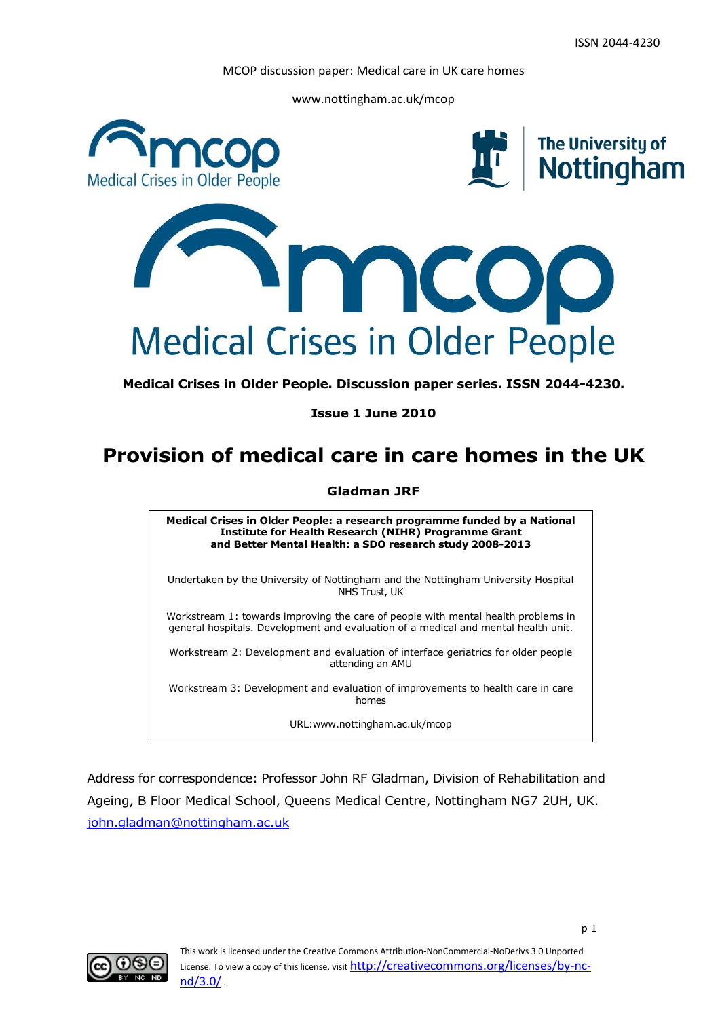www.nottingham.ac.uk/mcop



**Medical Crises in Older People. Discussion paper series. ISSN 2044-4230.**

**Issue 1 June 2010**

## **Provision of medical care in care homes in the UK**

#### **Gladman JRF**

**Medical Crises in Older People: a research programme funded by a National Institute for Health Research (NIHR) Programme Grant and Better Mental Health: a SDO research study 2008-2013**

Undertaken by the University of Nottingham and the Nottingham University Hospital NHS Trust, UK

Workstream 1: towards improving the care of people with mental health problems in general hospitals. Development and evaluation of a medical and mental health unit.

Workstream 2: Development and evaluation of interface geriatrics for older people attending an AMU

Workstream 3: Development and evaluation of improvements to health care in care homes

URL:www.nottingham.ac.uk/mcop

Address for correspondence: Professor John RF Gladman, Division of Rehabilitation and Ageing, B Floor Medical School, Queens Medical Centre, Nottingham NG7 2UH, UK. [john.gladman@nottingham.ac.uk](mailto:john.gladman@nottingham.ac.uk)

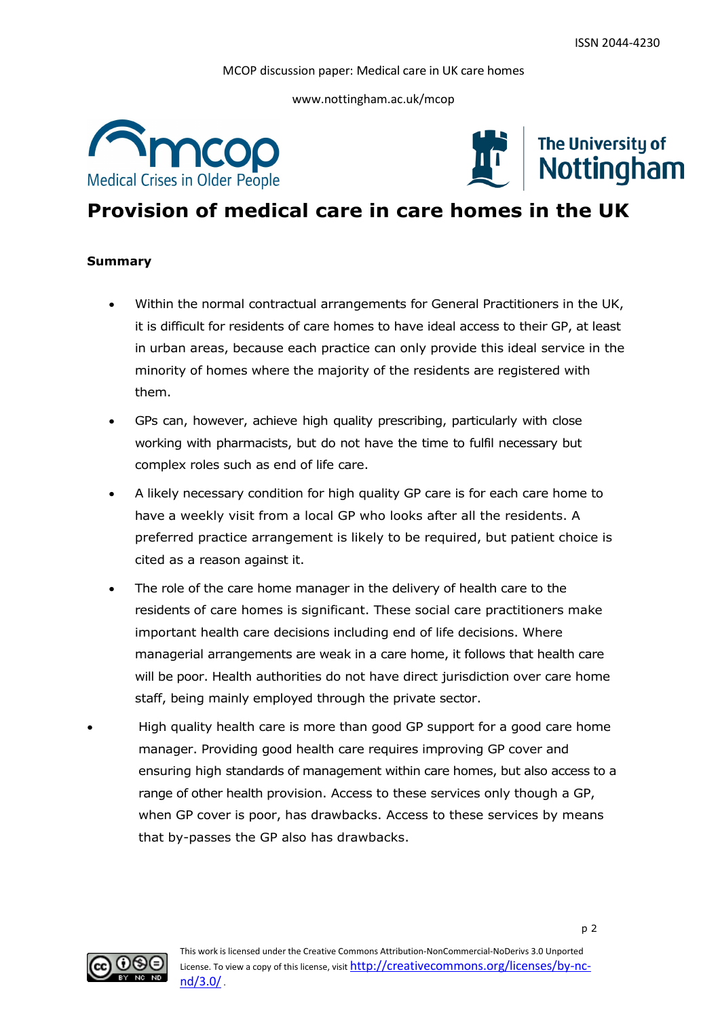www.nottingham.ac.uk/mcop





# **Provision of medical care in care homes in the UK**

#### **Summary**

- Within the normal contractual arrangements for General Practitioners in the UK, it is difficult for residents of care homes to have ideal access to their GP, at least in urban areas, because each practice can only provide this ideal service in the minority of homes where the majority of the residents are registered with them.
- GPs can, however, achieve high quality prescribing, particularly with close working with pharmacists, but do not have the time to fulfil necessary but complex roles such as end of life care.
- A likely necessary condition for high quality GP care is for each care home to have a weekly visit from a local GP who looks after all the residents. A preferred practice arrangement is likely to be required, but patient choice is cited as a reason against it.
- The role of the care home manager in the delivery of health care to the residents of care homes is significant. These social care practitioners make important health care decisions including end of life decisions. Where managerial arrangements are weak in a care home, it follows that health care will be poor. Health authorities do not have direct jurisdiction over care home staff, being mainly employed through the private sector.
- High quality health care is more than good GP support for a good care home manager. Providing good health care requires improving GP cover and ensuring high standards of management within care homes, but also access to a range of other health provision. Access to these services only though a GP, when GP cover is poor, has drawbacks. Access to these services by means that by-passes the GP also has drawbacks.

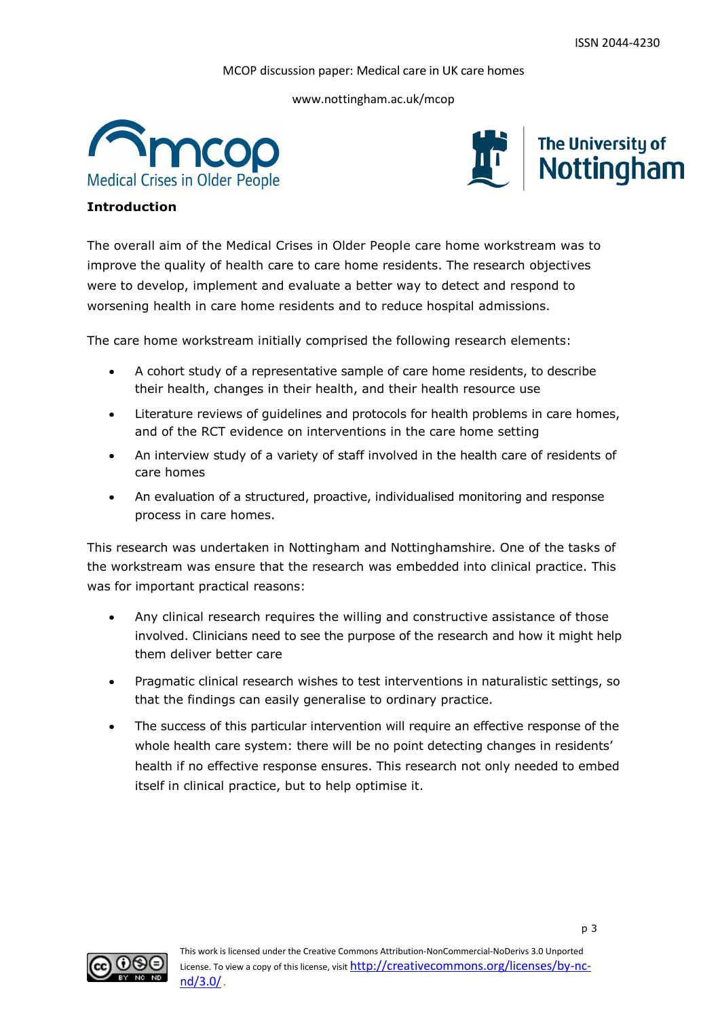www.nottingham.ac.uk/mcop





#### **Introduction**

The overall aim of the Medical Crises in Older People care home workstream was to improve the quality of health care to care home residents. The research objectives were to develop, implement and evaluate a better way to detect and respond to worsening health in care home residents and to reduce hospital admissions.

The care home workstream initially comprised the following research elements:

- A cohort study of a representative sample of care home residents, to describe their health, changes in their health, and their health resource use
- Literature reviews of guidelines and protocols for health problems in care homes, and of the RCT evidence on interventions in the care home setting
- An interview study of a variety of staff involved in the health care of residents of care homes
- An evaluation of a structured, proactive, individualised monitoring and response process in care homes.

This research was undertaken in Nottingham and Nottinghamshire. One of the tasks of the workstream was ensure that the research was embedded into clinical practice. This was for important practical reasons:

- Any clinical research requires the willing and constructive assistance of those involved. Clinicians need to see the purpose of the research and how it might help them deliver better care
- Pragmatic clinical research wishes to test interventions in naturalistic settings, so that the findings can easily generalise to ordinary practice.
- The success of this particular intervention will require an effective response of the whole health care system: there will be no point detecting changes in residents' health if no effective response ensures. This research not only needed to embed itself in clinical practice, but to help optimise it.

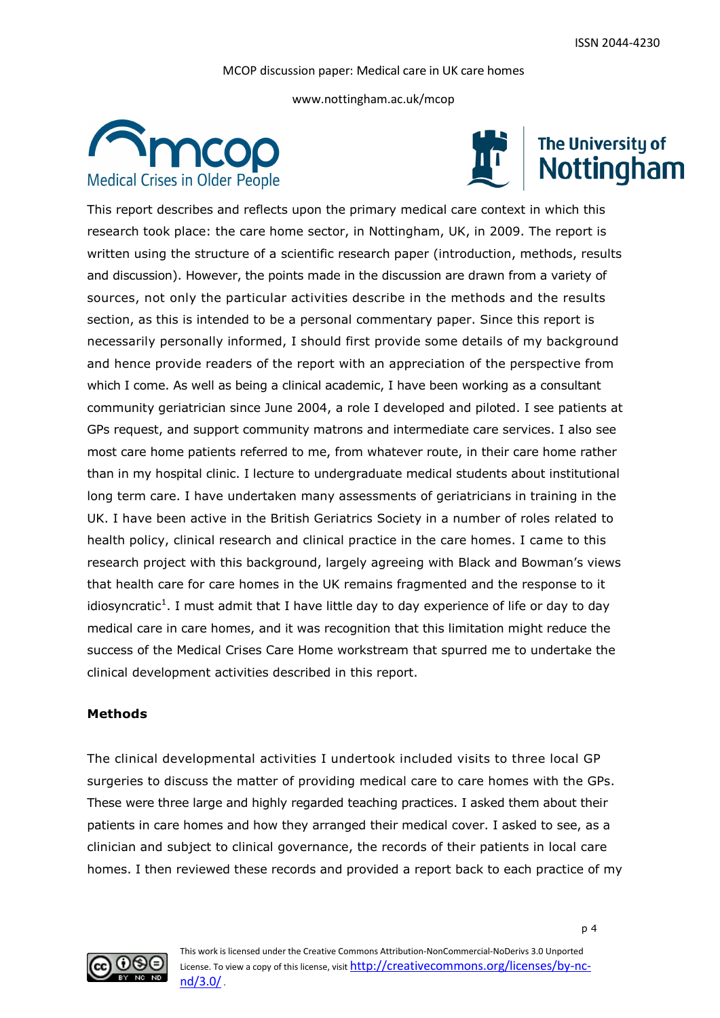www.nottingham.ac.uk/mcop





# The University of<br>Nottingham

This report describes and reflects upon the primary medical care context in which this research took place: the care home sector, in Nottingham, UK, in 2009. The report is written using the structure of a scientific research paper (introduction, methods, results and discussion). However, the points made in the discussion are drawn from a variety of sources, not only the particular activities describe in the methods and the results section, as this is intended to be a personal commentary paper. Since this report is necessarily personally informed, I should first provide some details of my background and hence provide readers of the report with an appreciation of the perspective from which I come. As well as being a clinical academic, I have been working as a consultant community geriatrician since June 2004, a role I developed and piloted. I see patients at GPs request, and support community matrons and intermediate care services. I also see most care home patients referred to me, from whatever route, in their care home rather than in my hospital clinic. I lecture to undergraduate medical students about institutional long term care. I have undertaken many assessments of geriatricians in training in the UK. I have been active in the British Geriatrics Society in a number of roles related to health policy, clinical research and clinical practice in the care homes. I came to this research project with this background, largely agreeing with Black and Bowman's views that health care for care homes in the UK remains fragmented and the response to it idiosyncratic<sup>1</sup>. I must admit that I have little day to day experience of life or day to day medical care in care homes, and it was recognition that this limitation might reduce the success of the Medical Crises Care Home workstream that spurred me to undertake the clinical development activities described in this report.

#### **Methods**

The clinical developmental activities I undertook included visits to three local GP surgeries to discuss the matter of providing medical care to care homes with the GPs. These were three large and highly regarded teaching practices. I asked them about their patients in care homes and how they arranged their medical cover. I asked to see, as a clinician and subject to clinical governance, the records of their patients in local care homes. I then reviewed these records and provided a report back to each practice of my

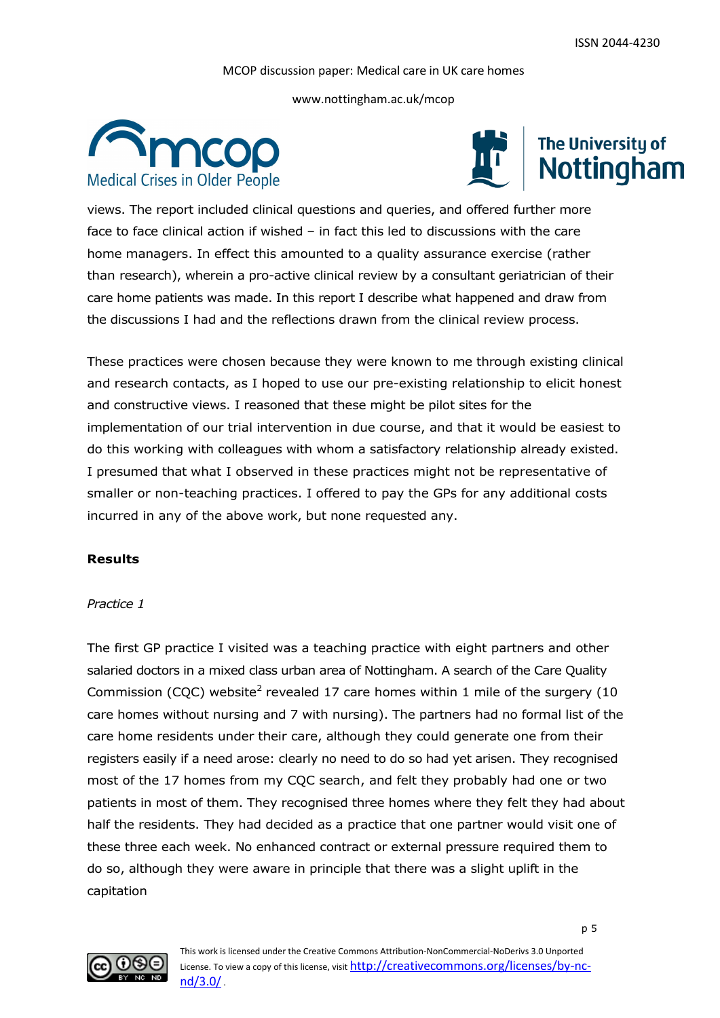www.nottingham.ac.uk/mcop





views. The report included clinical questions and queries, and offered further more face to face clinical action if wished – in fact this led to discussions with the care home managers. In effect this amounted to a quality assurance exercise (rather than research), wherein a pro-active clinical review by a consultant geriatrician of their care home patients was made. In this report I describe what happened and draw from the discussions I had and the reflections drawn from the clinical review process.

These practices were chosen because they were known to me through existing clinical and research contacts, as I hoped to use our pre-existing relationship to elicit honest and constructive views. I reasoned that these might be pilot sites for the implementation of our trial intervention in due course, and that it would be easiest to do this working with colleagues with whom a satisfactory relationship already existed. I presumed that what I observed in these practices might not be representative of smaller or non-teaching practices. I offered to pay the GPs for any additional costs incurred in any of the above work, but none requested any.

#### **Results**

#### *Practice 1*

The first GP practice I visited was a teaching practice with eight partners and other salaried doctors in a mixed class urban area of Nottingham. A search of the Care Quality Commission (CQC) website<sup>2</sup> revealed 17 care homes within 1 mile of the surgery (10 care homes without nursing and 7 with nursing). The partners had no formal list of the care home residents under their care, although they could generate one from their registers easily if a need arose: clearly no need to do so had yet arisen. They recognised most of the 17 homes from my CQC search, and felt they probably had one or two patients in most of them. They recognised three homes where they felt they had about half the residents. They had decided as a practice that one partner would visit one of these three each week. No enhanced contract or external pressure required them to do so, although they were aware in principle that there was a slight uplift in the capitation

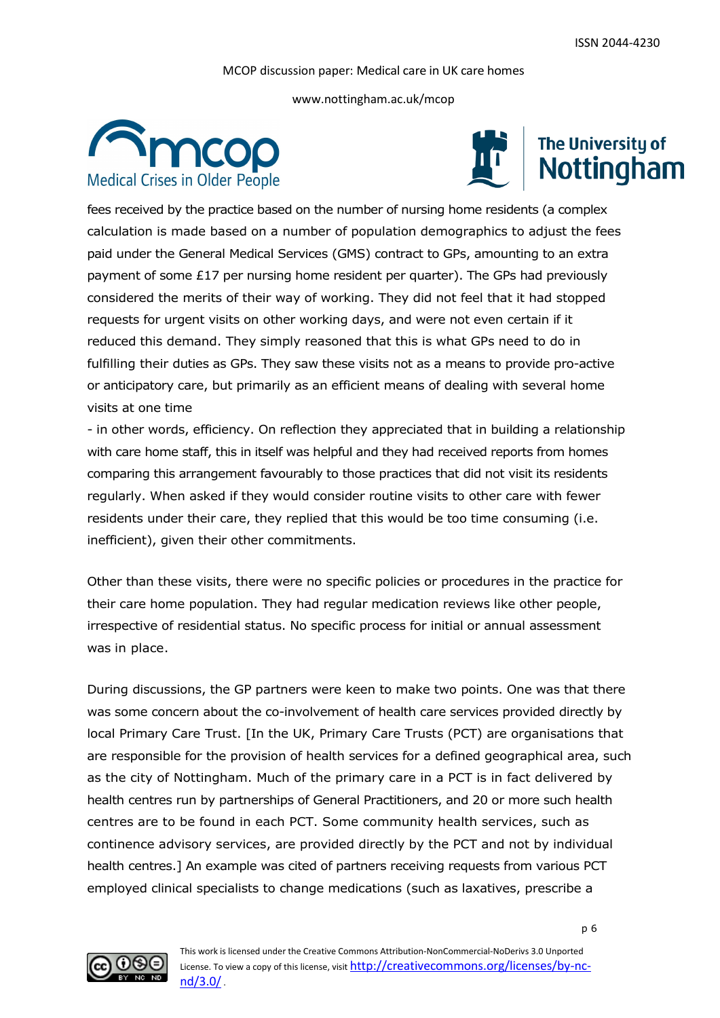www.nottingham.ac.uk/mcop





fees received by the practice based on the number of nursing home residents (a complex calculation is made based on a number of population demographics to adjust the fees paid under the General Medical Services (GMS) contract to GPs, amounting to an extra payment of some £17 per nursing home resident per quarter). The GPs had previously considered the merits of their way of working. They did not feel that it had stopped requests for urgent visits on other working days, and were not even certain if it reduced this demand. They simply reasoned that this is what GPs need to do in fulfilling their duties as GPs. They saw these visits not as a means to provide pro-active or anticipatory care, but primarily as an efficient means of dealing with several home visits at one time

- in other words, efficiency. On reflection they appreciated that in building a relationship with care home staff, this in itself was helpful and they had received reports from homes comparing this arrangement favourably to those practices that did not visit its residents regularly. When asked if they would consider routine visits to other care with fewer residents under their care, they replied that this would be too time consuming (i.e. inefficient), given their other commitments.

Other than these visits, there were no specific policies or procedures in the practice for their care home population. They had regular medication reviews like other people, irrespective of residential status. No specific process for initial or annual assessment was in place.

During discussions, the GP partners were keen to make two points. One was that there was some concern about the co-involvement of health care services provided directly by local Primary Care Trust. [In the UK, Primary Care Trusts (PCT) are organisations that are responsible for the provision of health services for a defined geographical area, such as the city of Nottingham. Much of the primary care in a PCT is in fact delivered by health centres run by partnerships of General Practitioners, and 20 or more such health centres are to be found in each PCT. Some community health services, such as continence advisory services, are provided directly by the PCT and not by individual health centres.] An example was cited of partners receiving requests from various PCT employed clinical specialists to change medications (such as laxatives, prescribe a

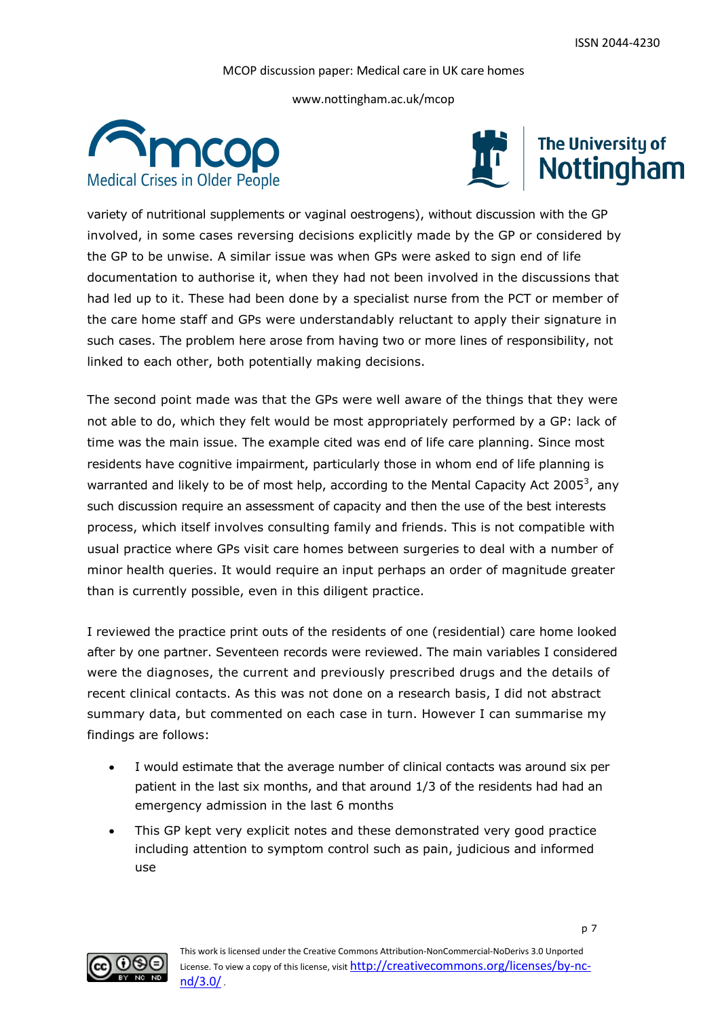www.nottingham.ac.uk/mcop





variety of nutritional supplements or vaginal oestrogens), without discussion with the GP involved, in some cases reversing decisions explicitly made by the GP or considered by the GP to be unwise. A similar issue was when GPs were asked to sign end of life documentation to authorise it, when they had not been involved in the discussions that had led up to it. These had been done by a specialist nurse from the PCT or member of the care home staff and GPs were understandably reluctant to apply their signature in such cases. The problem here arose from having two or more lines of responsibility, not linked to each other, both potentially making decisions.

The second point made was that the GPs were well aware of the things that they were not able to do, which they felt would be most appropriately performed by a GP: lack of time was the main issue. The example cited was end of life care planning. Since most residents have cognitive impairment, particularly those in whom end of life planning is warranted and likely to be of most help, according to the Mental Capacity Act 2005 $^3$ , any such discussion require an assessment of capacity and then the use of the best interests process, which itself involves consulting family and friends. This is not compatible with usual practice where GPs visit care homes between surgeries to deal with a number of minor health queries. It would require an input perhaps an order of magnitude greater than is currently possible, even in this diligent practice.

I reviewed the practice print outs of the residents of one (residential) care home looked after by one partner. Seventeen records were reviewed. The main variables I considered were the diagnoses, the current and previously prescribed drugs and the details of recent clinical contacts. As this was not done on a research basis, I did not abstract summary data, but commented on each case in turn. However I can summarise my findings are follows:

- I would estimate that the average number of clinical contacts was around six per patient in the last six months, and that around 1/3 of the residents had had an emergency admission in the last 6 months
- This GP kept very explicit notes and these demonstrated very good practice including attention to symptom control such as pain, judicious and informed use

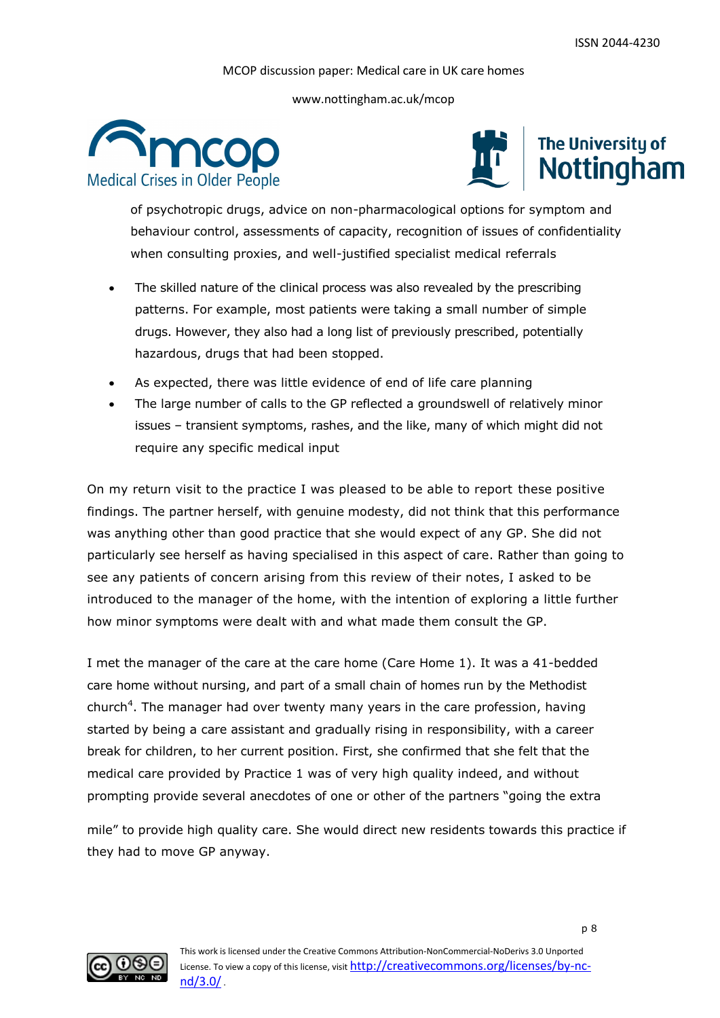www.nottingham.ac.uk/mcop





of psychotropic drugs, advice on non-pharmacological options for symptom and behaviour control, assessments of capacity, recognition of issues of confidentiality when consulting proxies, and well-justified specialist medical referrals

- The skilled nature of the clinical process was also revealed by the prescribing patterns. For example, most patients were taking a small number of simple drugs. However, they also had a long list of previously prescribed, potentially hazardous, drugs that had been stopped.
- As expected, there was little evidence of end of life care planning
- The large number of calls to the GP reflected a groundswell of relatively minor issues – transient symptoms, rashes, and the like, many of which might did not require any specific medical input

On my return visit to the practice I was pleased to be able to report these positive findings. The partner herself, with genuine modesty, did not think that this performance was anything other than good practice that she would expect of any GP. She did not particularly see herself as having specialised in this aspect of care. Rather than going to see any patients of concern arising from this review of their notes, I asked to be introduced to the manager of the home, with the intention of exploring a little further how minor symptoms were dealt with and what made them consult the GP.

I met the manager of the care at the care home (Care Home 1). It was a 41-bedded care home without nursing, and part of a small chain of homes run by the Methodist church<sup>4</sup>. The manager had over twenty many years in the care profession, having started by being a care assistant and gradually rising in responsibility, with a career break for children, to her current position. First, she confirmed that she felt that the medical care provided by Practice 1 was of very high quality indeed, and without prompting provide several anecdotes of one or other of the partners "going the extra

mile" to provide high quality care. She would direct new residents towards this practice if they had to move GP anyway.

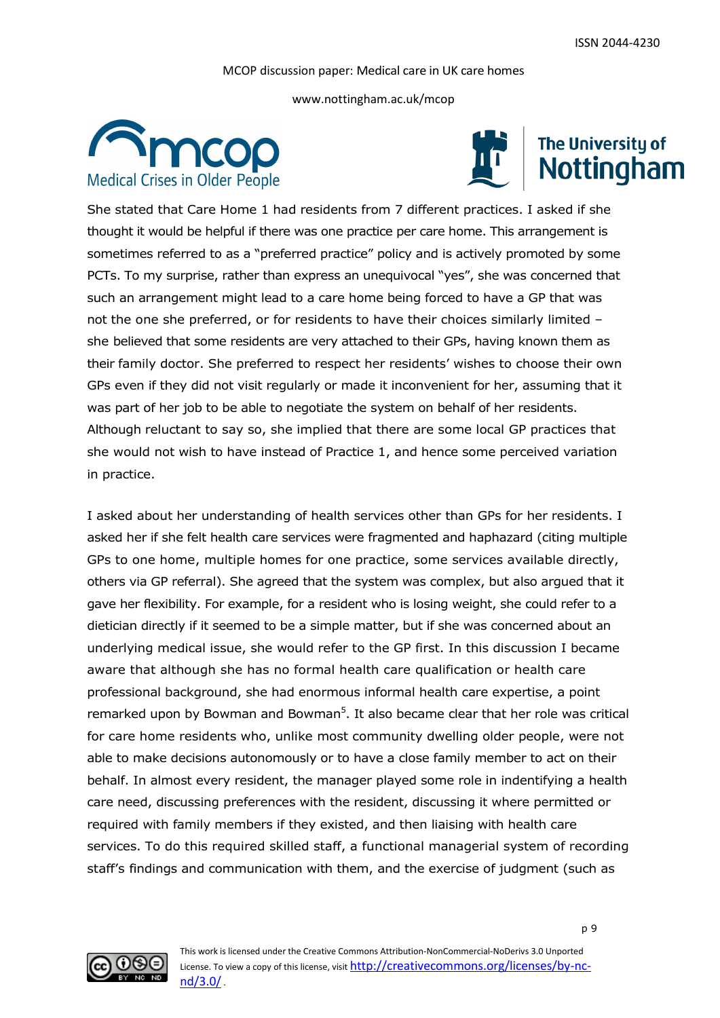www.nottingham.ac.uk/mcop





# The University of Nottingham

She stated that Care Home 1 had residents from 7 different practices. I asked if she thought it would be helpful if there was one practice per care home. This arrangement is sometimes referred to as a "preferred practice" policy and is actively promoted by some PCTs. To my surprise, rather than express an unequivocal "yes", she was concerned that such an arrangement might lead to a care home being forced to have a GP that was not the one she preferred, or for residents to have their choices similarly limited – she believed that some residents are very attached to their GPs, having known them as their family doctor. She preferred to respect her residents' wishes to choose their own GPs even if they did not visit regularly or made it inconvenient for her, assuming that it was part of her job to be able to negotiate the system on behalf of her residents. Although reluctant to say so, she implied that there are some local GP practices that she would not wish to have instead of Practice 1, and hence some perceived variation in practice.

I asked about her understanding of health services other than GPs for her residents. I asked her if she felt health care services were fragmented and haphazard (citing multiple GPs to one home, multiple homes for one practice, some services available directly, others via GP referral). She agreed that the system was complex, but also argued that it gave her flexibility. For example, for a resident who is losing weight, she could refer to a dietician directly if it seemed to be a simple matter, but if she was concerned about an underlying medical issue, she would refer to the GP first. In this discussion I became aware that although she has no formal health care qualification or health care professional background, she had enormous informal health care expertise, a point remarked upon by Bowman and Bowman<sup>5</sup>. It also became clear that her role was critical for care home residents who, unlike most community dwelling older people, were not able to make decisions autonomously or to have a close family member to act on their behalf. In almost every resident, the manager played some role in indentifying a health care need, discussing preferences with the resident, discussing it where permitted or required with family members if they existed, and then liaising with health care services. To do this required skilled staff, a functional managerial system of recording staff's findings and communication with them, and the exercise of judgment (such as

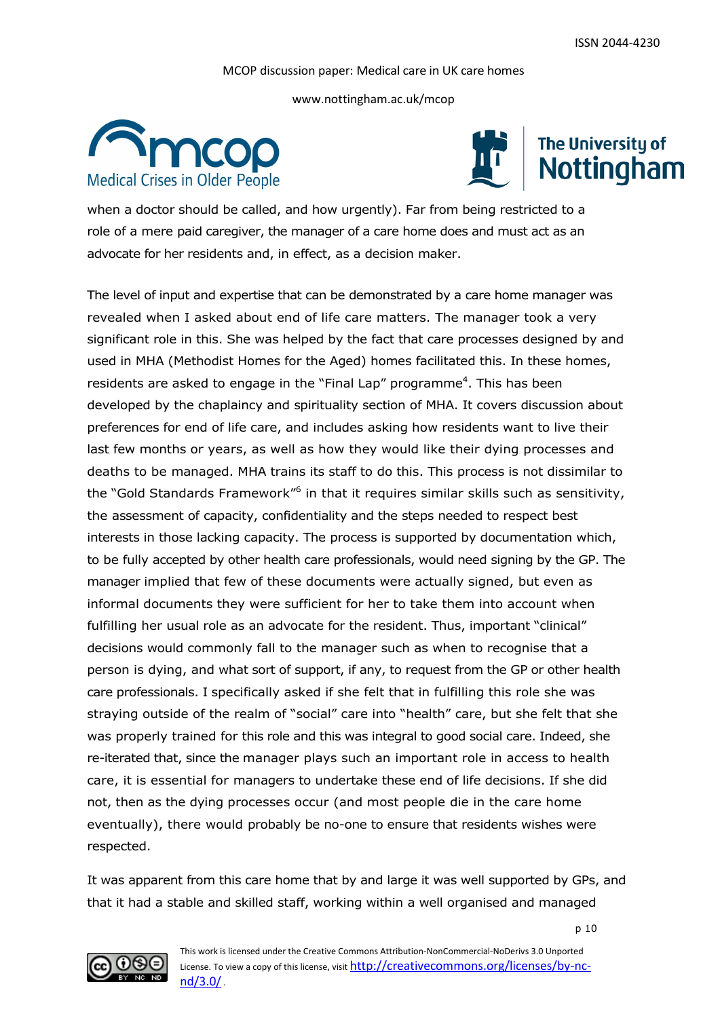www.nottingham.ac.uk/mcop





when a doctor should be called, and how urgently). Far from being restricted to a role of a mere paid caregiver, the manager of a care home does and must act as an advocate for her residents and, in effect, as a decision maker.

The level of input and expertise that can be demonstrated by a care home manager was revealed when I asked about end of life care matters. The manager took a very significant role in this. She was helped by the fact that care processes designed by and used in MHA (Methodist Homes for the Aged) homes facilitated this. In these homes, residents are asked to engage in the "Final Lap" programme<sup>4</sup>. This has been developed by the chaplaincy and spirituality section of MHA. It covers discussion about preferences for end of life care, and includes asking how residents want to live their last few months or years, as well as how they would like their dying processes and deaths to be managed. MHA trains its staff to do this. This process is not dissimilar to the "Gold Standards Framework"<sup>6</sup> in that it requires similar skills such as sensitivity, the assessment of capacity, confidentiality and the steps needed to respect best interests in those lacking capacity. The process is supported by documentation which, to be fully accepted by other health care professionals, would need signing by the GP. The manager implied that few of these documents were actually signed, but even as informal documents they were sufficient for her to take them into account when fulfilling her usual role as an advocate for the resident. Thus, important "clinical" decisions would commonly fall to the manager such as when to recognise that a person is dying, and what sort of support, if any, to request from the GP or other health care professionals. I specifically asked if she felt that in fulfilling this role she was straying outside of the realm of "social" care into "health" care, but she felt that she was properly trained for this role and this was integral to good social care. Indeed, she re-iterated that, since the manager plays such an important role in access to health care, it is essential for managers to undertake these end of life decisions. If she did not, then as the dying processes occur (and most people die in the care home eventually), there would probably be no-one to ensure that residents wishes were respected.

It was apparent from this care home that by and large it was well supported by GPs, and that it had a stable and skilled staff, working within a well organised and managed

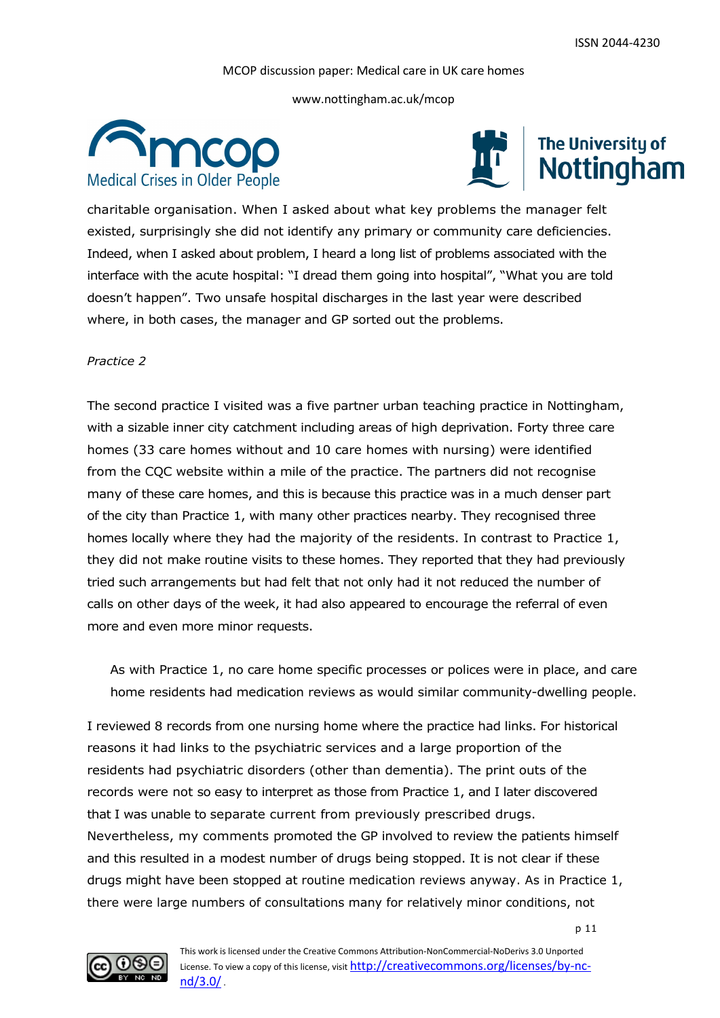www.nottingham.ac.uk/mcop





charitable organisation. When I asked about what key problems the manager felt existed, surprisingly she did not identify any primary or community care deficiencies. Indeed, when I asked about problem, I heard a long list of problems associated with the interface with the acute hospital: "I dread them going into hospital", "What you are told doesn't happen". Two unsafe hospital discharges in the last year were described where, in both cases, the manager and GP sorted out the problems.

#### *Practice 2*

The second practice I visited was a five partner urban teaching practice in Nottingham, with a sizable inner city catchment including areas of high deprivation. Forty three care homes (33 care homes without and 10 care homes with nursing) were identified from the CQC website within a mile of the practice. The partners did not recognise many of these care homes, and this is because this practice was in a much denser part of the city than Practice 1, with many other practices nearby. They recognised three homes locally where they had the majority of the residents. In contrast to Practice 1, they did not make routine visits to these homes. They reported that they had previously tried such arrangements but had felt that not only had it not reduced the number of calls on other days of the week, it had also appeared to encourage the referral of even more and even more minor requests.

As with Practice 1, no care home specific processes or polices were in place, and care home residents had medication reviews as would similar community-dwelling people.

I reviewed 8 records from one nursing home where the practice had links. For historical reasons it had links to the psychiatric services and a large proportion of the residents had psychiatric disorders (other than dementia). The print outs of the records were not so easy to interpret as those from Practice 1, and I later discovered that I was unable to separate current from previously prescribed drugs. Nevertheless, my comments promoted the GP involved to review the patients himself and this resulted in a modest number of drugs being stopped. It is not clear if these drugs might have been stopped at routine medication reviews anyway. As in Practice 1, there were large numbers of consultations many for relatively minor conditions, not

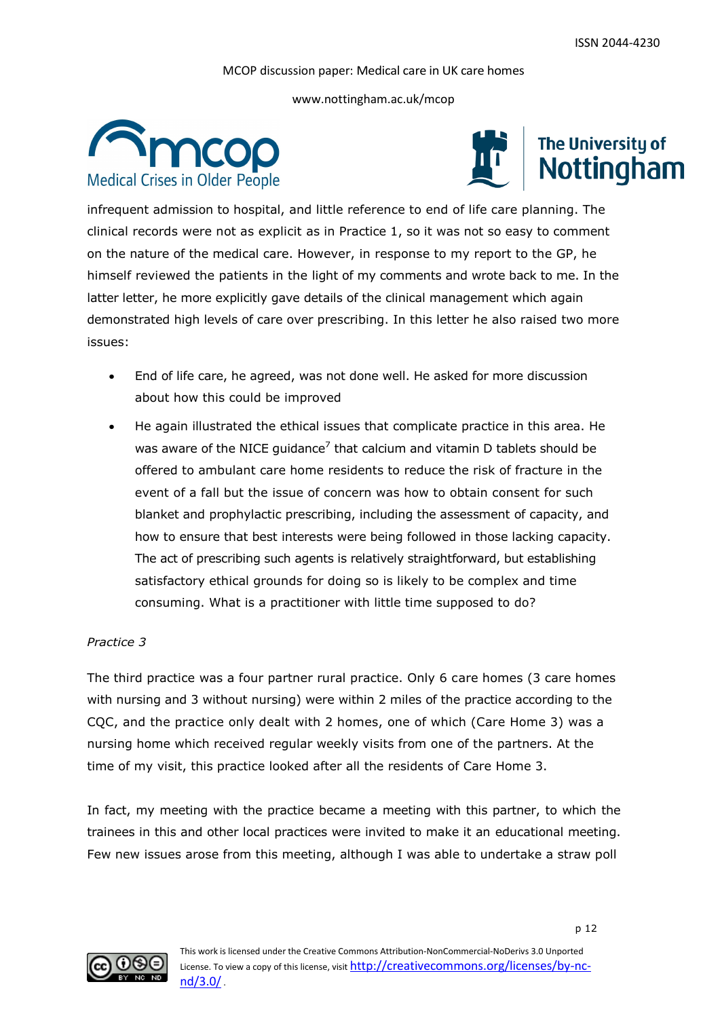www.nottingham.ac.uk/mcop





infrequent admission to hospital, and little reference to end of life care planning. The clinical records were not as explicit as in Practice 1, so it was not so easy to comment on the nature of the medical care. However, in response to my report to the GP, he himself reviewed the patients in the light of my comments and wrote back to me. In the latter letter, he more explicitly gave details of the clinical management which again demonstrated high levels of care over prescribing. In this letter he also raised two more issues:

- End of life care, he agreed, was not done well. He asked for more discussion about how this could be improved
- He again illustrated the ethical issues that complicate practice in this area. He was aware of the NICE guidance<sup>7</sup> that calcium and vitamin D tablets should be offered to ambulant care home residents to reduce the risk of fracture in the event of a fall but the issue of concern was how to obtain consent for such blanket and prophylactic prescribing, including the assessment of capacity, and how to ensure that best interests were being followed in those lacking capacity. The act of prescribing such agents is relatively straightforward, but establishing satisfactory ethical grounds for doing so is likely to be complex and time consuming. What is a practitioner with little time supposed to do?

#### *Practice 3*

The third practice was a four partner rural practice. Only 6 care homes (3 care homes with nursing and 3 without nursing) were within 2 miles of the practice according to the CQC, and the practice only dealt with 2 homes, one of which (Care Home 3) was a nursing home which received regular weekly visits from one of the partners. At the time of my visit, this practice looked after all the residents of Care Home 3.

In fact, my meeting with the practice became a meeting with this partner, to which the trainees in this and other local practices were invited to make it an educational meeting. Few new issues arose from this meeting, although I was able to undertake a straw poll

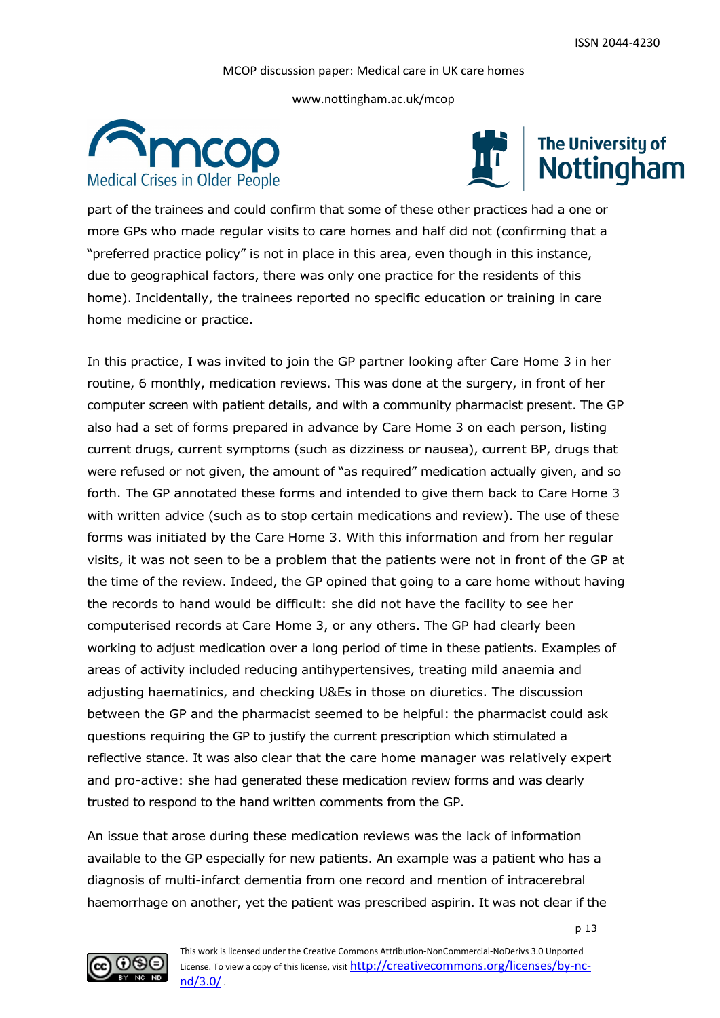www.nottingham.ac.uk/mcop





part of the trainees and could confirm that some of these other practices had a one or more GPs who made regular visits to care homes and half did not (confirming that a "preferred practice policy" is not in place in this area, even though in this instance, due to geographical factors, there was only one practice for the residents of this home). Incidentally, the trainees reported no specific education or training in care home medicine or practice.

In this practice, I was invited to join the GP partner looking after Care Home 3 in her routine, 6 monthly, medication reviews. This was done at the surgery, in front of her computer screen with patient details, and with a community pharmacist present. The GP also had a set of forms prepared in advance by Care Home 3 on each person, listing current drugs, current symptoms (such as dizziness or nausea), current BP, drugs that were refused or not given, the amount of "as required" medication actually given, and so forth. The GP annotated these forms and intended to give them back to Care Home 3 with written advice (such as to stop certain medications and review). The use of these forms was initiated by the Care Home 3. With this information and from her regular visits, it was not seen to be a problem that the patients were not in front of the GP at the time of the review. Indeed, the GP opined that going to a care home without having the records to hand would be difficult: she did not have the facility to see her computerised records at Care Home 3, or any others. The GP had clearly been working to adjust medication over a long period of time in these patients. Examples of areas of activity included reducing antihypertensives, treating mild anaemia and adjusting haematinics, and checking U&Es in those on diuretics. The discussion between the GP and the pharmacist seemed to be helpful: the pharmacist could ask questions requiring the GP to justify the current prescription which stimulated a reflective stance. It was also clear that the care home manager was relatively expert and pro-active: she had generated these medication review forms and was clearly trusted to respond to the hand written comments from the GP.

An issue that arose during these medication reviews was the lack of information available to the GP especially for new patients. An example was a patient who has a diagnosis of multi-infarct dementia from one record and mention of intracerebral haemorrhage on another, yet the patient was prescribed aspirin. It was not clear if the

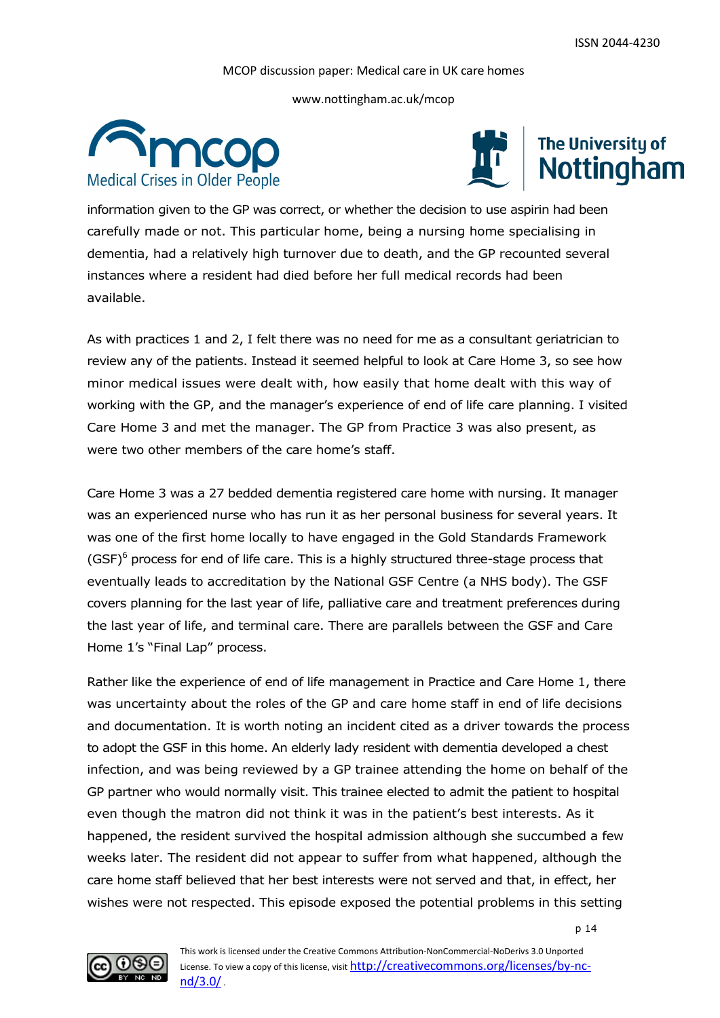www.nottingham.ac.uk/mcop





information given to the GP was correct, or whether the decision to use aspirin had been carefully made or not. This particular home, being a nursing home specialising in dementia, had a relatively high turnover due to death, and the GP recounted several instances where a resident had died before her full medical records had been available.

As with practices 1 and 2, I felt there was no need for me as a consultant geriatrician to review any of the patients. Instead it seemed helpful to look at Care Home 3, so see how minor medical issues were dealt with, how easily that home dealt with this way of working with the GP, and the manager's experience of end of life care planning. I visited Care Home 3 and met the manager. The GP from Practice 3 was also present, as were two other members of the care home's staff.

Care Home 3 was a 27 bedded dementia registered care home with nursing. It manager was an experienced nurse who has run it as her personal business for several years. It was one of the first home locally to have engaged in the Gold Standards Framework  $(GSF)^6$  process for end of life care. This is a highly structured three-stage process that eventually leads to accreditation by the National GSF Centre (a NHS body). The GSF covers planning for the last year of life, palliative care and treatment preferences during the last year of life, and terminal care. There are parallels between the GSF and Care Home 1's "Final Lap" process.

Rather like the experience of end of life management in Practice and Care Home 1, there was uncertainty about the roles of the GP and care home staff in end of life decisions and documentation. It is worth noting an incident cited as a driver towards the process to adopt the GSF in this home. An elderly lady resident with dementia developed a chest infection, and was being reviewed by a GP trainee attending the home on behalf of the GP partner who would normally visit. This trainee elected to admit the patient to hospital even though the matron did not think it was in the patient's best interests. As it happened, the resident survived the hospital admission although she succumbed a few weeks later. The resident did not appear to suffer from what happened, although the care home staff believed that her best interests were not served and that, in effect, her wishes were not respected. This episode exposed the potential problems in this setting

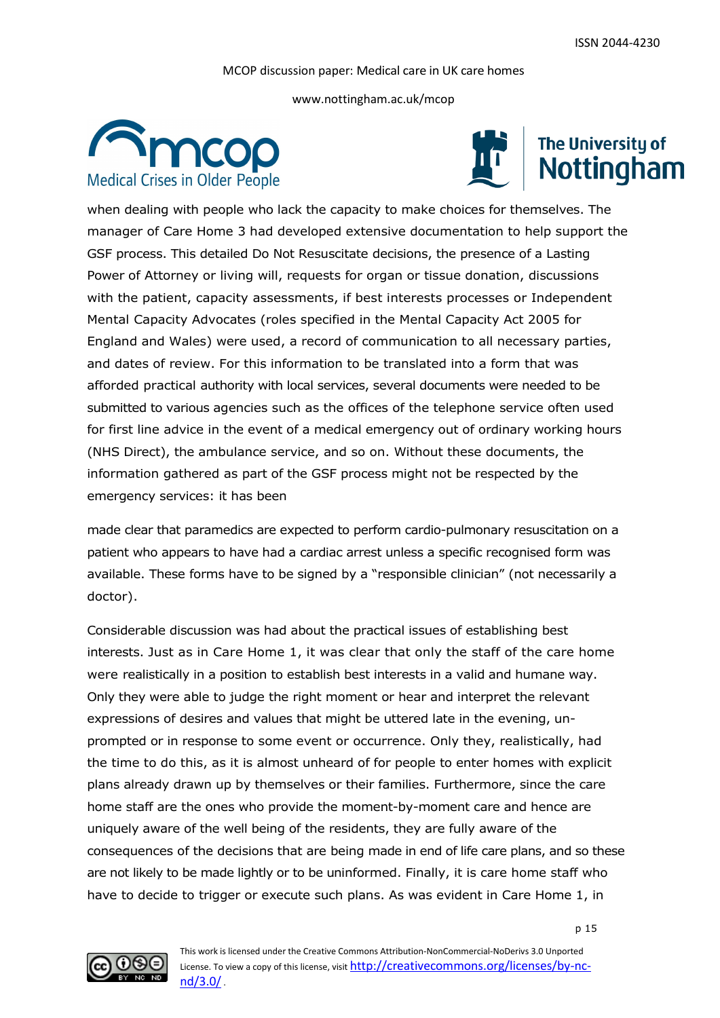www.nottingham.ac.uk/mcop





when dealing with people who lack the capacity to make choices for themselves. The manager of Care Home 3 had developed extensive documentation to help support the GSF process. This detailed Do Not Resuscitate decisions, the presence of a Lasting Power of Attorney or living will, requests for organ or tissue donation, discussions with the patient, capacity assessments, if best interests processes or Independent Mental Capacity Advocates (roles specified in the Mental Capacity Act 2005 for England and Wales) were used, a record of communication to all necessary parties, and dates of review. For this information to be translated into a form that was afforded practical authority with local services, several documents were needed to be submitted to various agencies such as the offices of the telephone service often used for first line advice in the event of a medical emergency out of ordinary working hours (NHS Direct), the ambulance service, and so on. Without these documents, the information gathered as part of the GSF process might not be respected by the emergency services: it has been

made clear that paramedics are expected to perform cardio-pulmonary resuscitation on a patient who appears to have had a cardiac arrest unless a specific recognised form was available. These forms have to be signed by a "responsible clinician" (not necessarily a doctor).

Considerable discussion was had about the practical issues of establishing best interests. Just as in Care Home 1, it was clear that only the staff of the care home were realistically in a position to establish best interests in a valid and humane way. Only they were able to judge the right moment or hear and interpret the relevant expressions of desires and values that might be uttered late in the evening, unprompted or in response to some event or occurrence. Only they, realistically, had the time to do this, as it is almost unheard of for people to enter homes with explicit plans already drawn up by themselves or their families. Furthermore, since the care home staff are the ones who provide the moment-by-moment care and hence are uniquely aware of the well being of the residents, they are fully aware of the consequences of the decisions that are being made in end of life care plans, and so these are not likely to be made lightly or to be uninformed. Finally, it is care home staff who have to decide to trigger or execute such plans. As was evident in Care Home 1, in

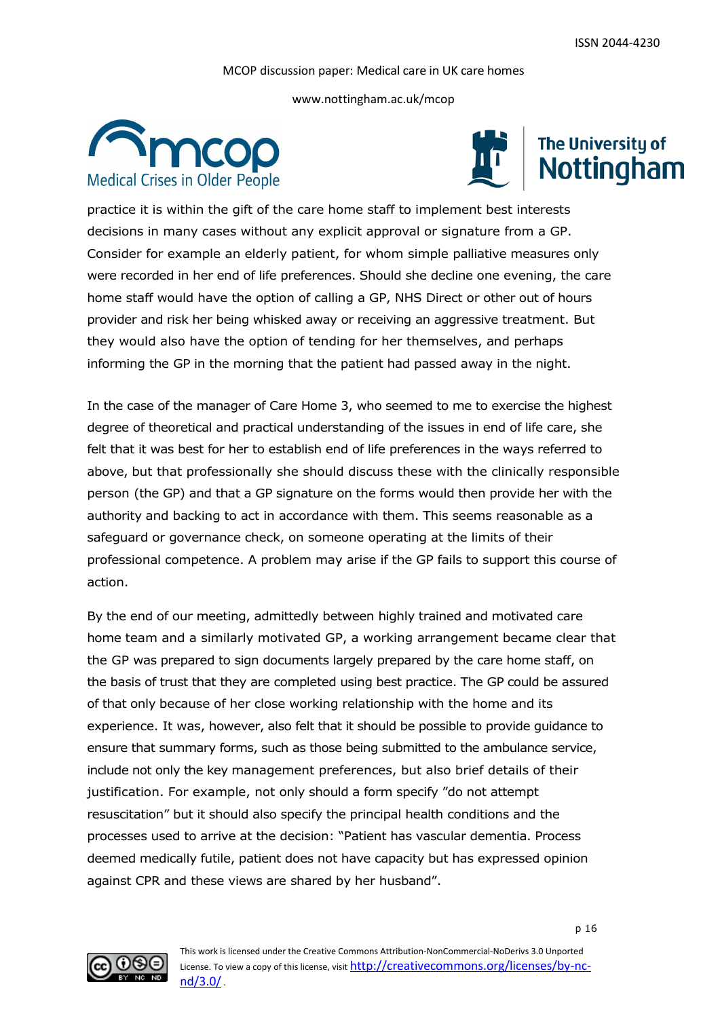www.nottingham.ac.uk/mcop





practice it is within the gift of the care home staff to implement best interests decisions in many cases without any explicit approval or signature from a GP. Consider for example an elderly patient, for whom simple palliative measures only were recorded in her end of life preferences. Should she decline one evening, the care home staff would have the option of calling a GP, NHS Direct or other out of hours provider and risk her being whisked away or receiving an aggressive treatment. But they would also have the option of tending for her themselves, and perhaps informing the GP in the morning that the patient had passed away in the night.

In the case of the manager of Care Home 3, who seemed to me to exercise the highest degree of theoretical and practical understanding of the issues in end of life care, she felt that it was best for her to establish end of life preferences in the ways referred to above, but that professionally she should discuss these with the clinically responsible person (the GP) and that a GP signature on the forms would then provide her with the authority and backing to act in accordance with them. This seems reasonable as a safeguard or governance check, on someone operating at the limits of their professional competence. A problem may arise if the GP fails to support this course of action.

By the end of our meeting, admittedly between highly trained and motivated care home team and a similarly motivated GP, a working arrangement became clear that the GP was prepared to sign documents largely prepared by the care home staff, on the basis of trust that they are completed using best practice. The GP could be assured of that only because of her close working relationship with the home and its experience. It was, however, also felt that it should be possible to provide guidance to ensure that summary forms, such as those being submitted to the ambulance service, include not only the key management preferences, but also brief details of their justification. For example, not only should a form specify "do not attempt resuscitation" but it should also specify the principal health conditions and the processes used to arrive at the decision: "Patient has vascular dementia. Process deemed medically futile, patient does not have capacity but has expressed opinion against CPR and these views are shared by her husband".

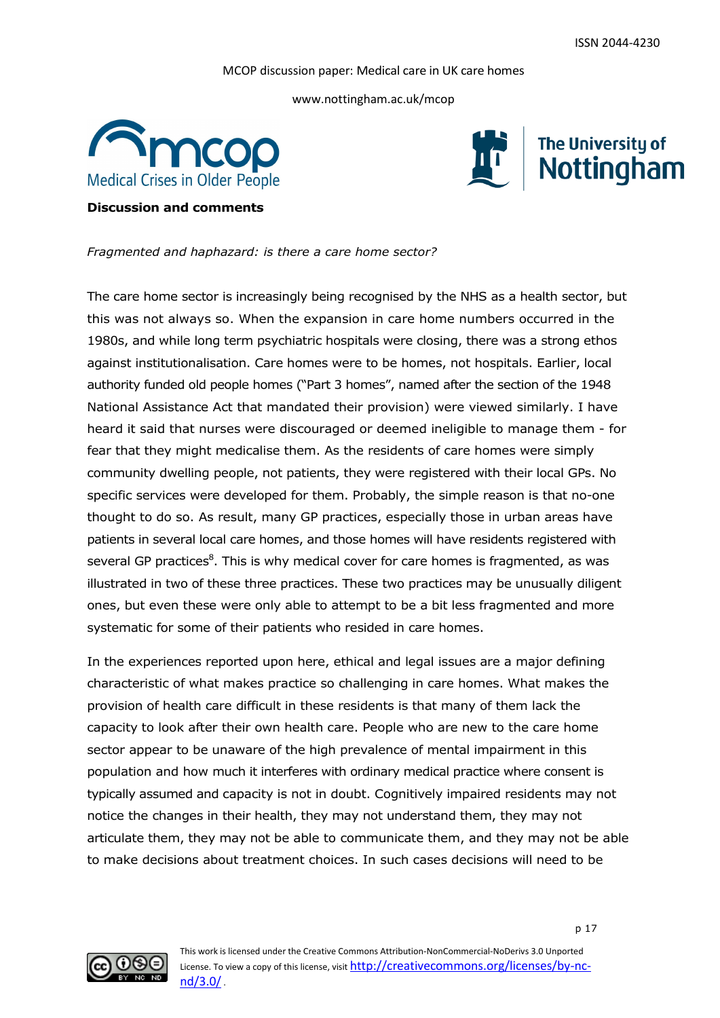www.nottingham.ac.uk/mcop





### **Discussion and comments**

*Fragmented and haphazard: is there a care home sector?*

The care home sector is increasingly being recognised by the NHS as a health sector, but this was not always so. When the expansion in care home numbers occurred in the 1980s, and while long term psychiatric hospitals were closing, there was a strong ethos against institutionalisation. Care homes were to be homes, not hospitals. Earlier, local authority funded old people homes ("Part 3 homes", named after the section of the 1948 National Assistance Act that mandated their provision) were viewed similarly. I have heard it said that nurses were discouraged or deemed ineligible to manage them - for fear that they might medicalise them. As the residents of care homes were simply community dwelling people, not patients, they were registered with their local GPs. No specific services were developed for them. Probably, the simple reason is that no-one thought to do so. As result, many GP practices, especially those in urban areas have patients in several local care homes, and those homes will have residents registered with several GP practices<sup>8</sup>. This is why medical cover for care homes is fragmented, as was illustrated in two of these three practices. These two practices may be unusually diligent ones, but even these were only able to attempt to be a bit less fragmented and more systematic for some of their patients who resided in care homes.

In the experiences reported upon here, ethical and legal issues are a major defining characteristic of what makes practice so challenging in care homes. What makes the provision of health care difficult in these residents is that many of them lack the capacity to look after their own health care. People who are new to the care home sector appear to be unaware of the high prevalence of mental impairment in this population and how much it interferes with ordinary medical practice where consent is typically assumed and capacity is not in doubt. Cognitively impaired residents may not notice the changes in their health, they may not understand them, they may not articulate them, they may not be able to communicate them, and they may not be able to make decisions about treatment choices. In such cases decisions will need to be

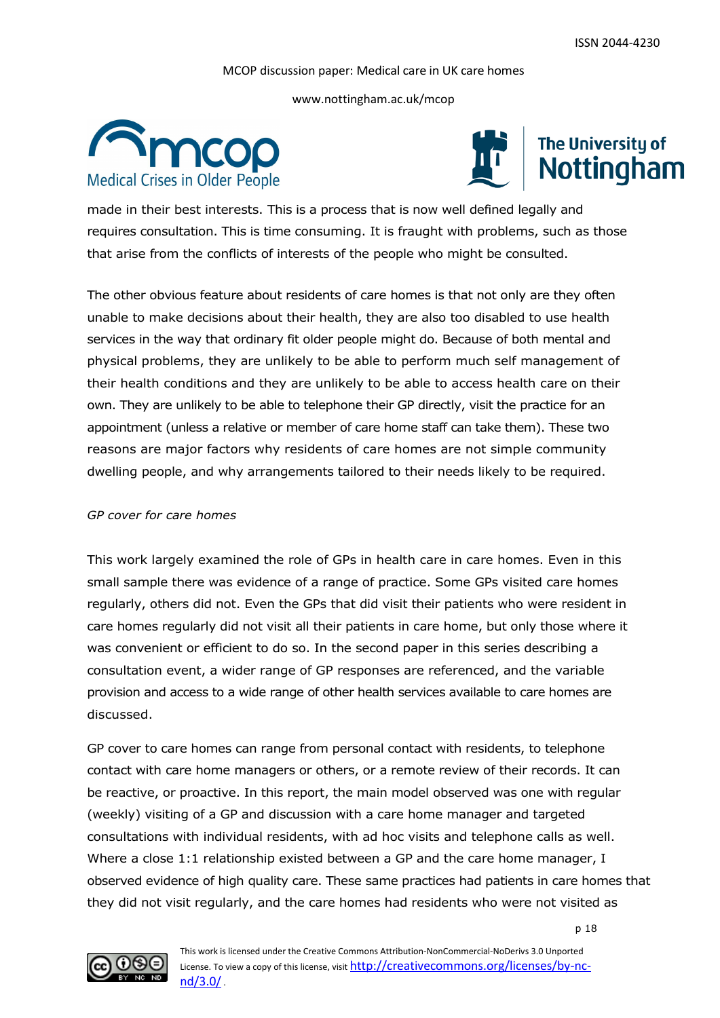www.nottingham.ac.uk/mcop





made in their best interests. This is a process that is now well defined legally and requires consultation. This is time consuming. It is fraught with problems, such as those that arise from the conflicts of interests of the people who might be consulted.

The other obvious feature about residents of care homes is that not only are they often unable to make decisions about their health, they are also too disabled to use health services in the way that ordinary fit older people might do. Because of both mental and physical problems, they are unlikely to be able to perform much self management of their health conditions and they are unlikely to be able to access health care on their own. They are unlikely to be able to telephone their GP directly, visit the practice for an appointment (unless a relative or member of care home staff can take them). These two reasons are major factors why residents of care homes are not simple community dwelling people, and why arrangements tailored to their needs likely to be required.

#### *GP cover for care homes*

This work largely examined the role of GPs in health care in care homes. Even in this small sample there was evidence of a range of practice. Some GPs visited care homes regularly, others did not. Even the GPs that did visit their patients who were resident in care homes regularly did not visit all their patients in care home, but only those where it was convenient or efficient to do so. In the second paper in this series describing a consultation event, a wider range of GP responses are referenced, and the variable provision and access to a wide range of other health services available to care homes are discussed.

GP cover to care homes can range from personal contact with residents, to telephone contact with care home managers or others, or a remote review of their records. It can be reactive, or proactive. In this report, the main model observed was one with regular (weekly) visiting of a GP and discussion with a care home manager and targeted consultations with individual residents, with ad hoc visits and telephone calls as well. Where a close 1:1 relationship existed between a GP and the care home manager, I observed evidence of high quality care. These same practices had patients in care homes that they did not visit regularly, and the care homes had residents who were not visited as

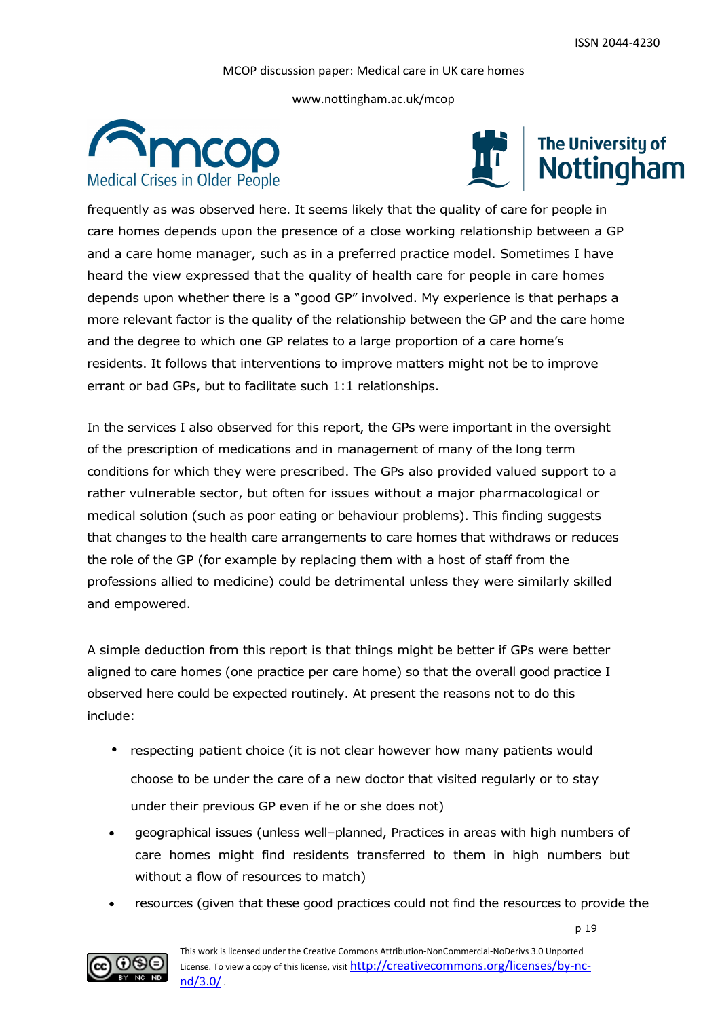www.nottingham.ac.uk/mcop





frequently as was observed here. It seems likely that the quality of care for people in care homes depends upon the presence of a close working relationship between a GP and a care home manager, such as in a preferred practice model. Sometimes I have heard the view expressed that the quality of health care for people in care homes depends upon whether there is a "good GP" involved. My experience is that perhaps a more relevant factor is the quality of the relationship between the GP and the care home and the degree to which one GP relates to a large proportion of a care home's residents. It follows that interventions to improve matters might not be to improve errant or bad GPs, but to facilitate such 1:1 relationships.

In the services I also observed for this report, the GPs were important in the oversight of the prescription of medications and in management of many of the long term conditions for which they were prescribed. The GPs also provided valued support to a rather vulnerable sector, but often for issues without a major pharmacological or medical solution (such as poor eating or behaviour problems). This finding suggests that changes to the health care arrangements to care homes that withdraws or reduces the role of the GP (for example by replacing them with a host of staff from the professions allied to medicine) could be detrimental unless they were similarly skilled and empowered.

A simple deduction from this report is that things might be better if GPs were better aligned to care homes (one practice per care home) so that the overall good practice I observed here could be expected routinely. At present the reasons not to do this include:

- respecting patient choice (it is not clear however how many patients would choose to be under the care of a new doctor that visited regularly or to stay under their previous GP even if he or she does not)
- geographical issues (unless well–planned, Practices in areas with high numbers of care homes might find residents transferred to them in high numbers but without a flow of resources to match)
- resources (given that these good practices could not find the resources to provide the

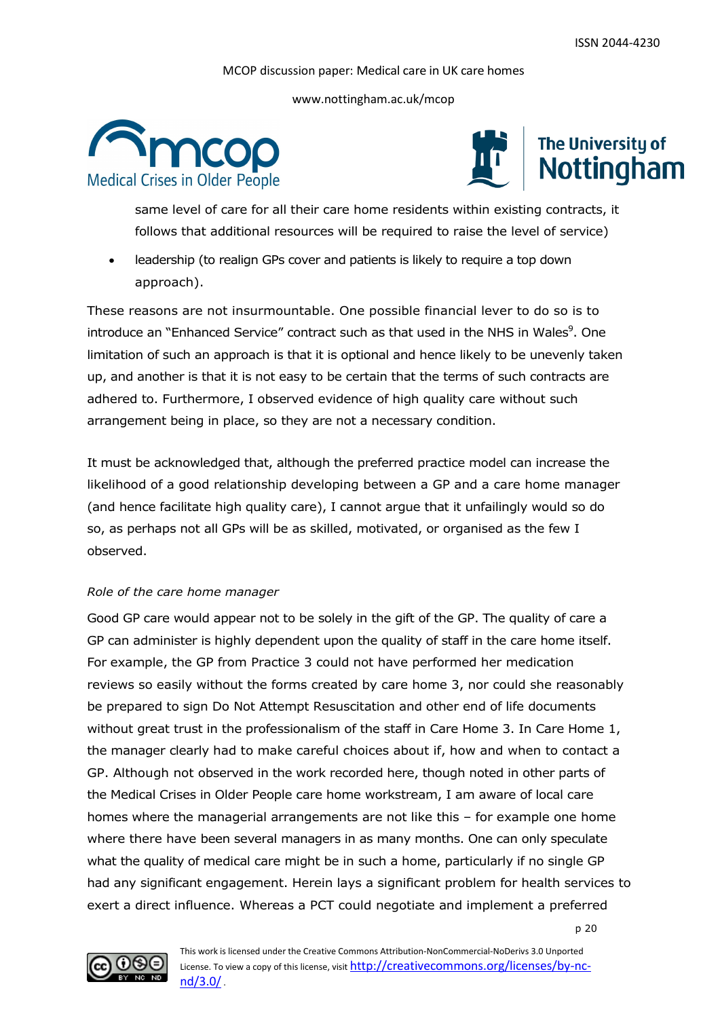www.nottingham.ac.uk/mcop





same level of care for all their care home residents within existing contracts, it follows that additional resources will be required to raise the level of service)

 leadership (to realign GPs cover and patients is likely to require a top down approach).

These reasons are not insurmountable. One possible financial lever to do so is to introduce an "Enhanced Service" contract such as that used in the NHS in Wales<sup>9</sup>. One limitation of such an approach is that it is optional and hence likely to be unevenly taken up, and another is that it is not easy to be certain that the terms of such contracts are adhered to. Furthermore, I observed evidence of high quality care without such arrangement being in place, so they are not a necessary condition.

It must be acknowledged that, although the preferred practice model can increase the likelihood of a good relationship developing between a GP and a care home manager (and hence facilitate high quality care), I cannot argue that it unfailingly would so do so, as perhaps not all GPs will be as skilled, motivated, or organised as the few I observed.

#### *Role of the care home manager*

Good GP care would appear not to be solely in the gift of the GP. The quality of care a GP can administer is highly dependent upon the quality of staff in the care home itself. For example, the GP from Practice 3 could not have performed her medication reviews so easily without the forms created by care home 3, nor could she reasonably be prepared to sign Do Not Attempt Resuscitation and other end of life documents without great trust in the professionalism of the staff in Care Home 3. In Care Home 1, the manager clearly had to make careful choices about if, how and when to contact a GP. Although not observed in the work recorded here, though noted in other parts of the Medical Crises in Older People care home workstream, I am aware of local care homes where the managerial arrangements are not like this – for example one home where there have been several managers in as many months. One can only speculate what the quality of medical care might be in such a home, particularly if no single GP had any significant engagement. Herein lays a significant problem for health services to exert a direct influence. Whereas a PCT could negotiate and implement a preferred

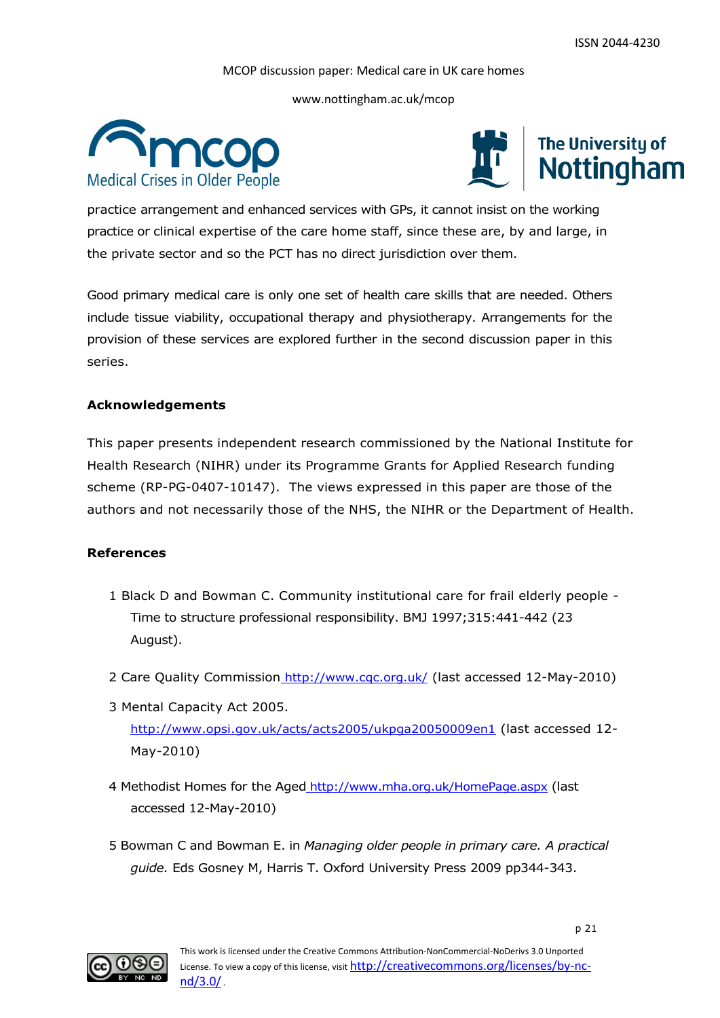www.nottingham.ac.uk/mcop





practice arrangement and enhanced services with GPs, it cannot insist on the working practice or clinical expertise of the care home staff, since these are, by and large, in the private sector and so the PCT has no direct jurisdiction over them.

Good primary medical care is only one set of health care skills that are needed. Others include tissue viability, occupational therapy and physiotherapy. Arrangements for the provision of these services are explored further in the second discussion paper in this series.

#### **Acknowledgements**

This paper presents independent research commissioned by the National Institute for Health Research (NIHR) under its Programme Grants for Applied Research funding scheme (RP-PG-0407-10147). The views expressed in this paper are those of the authors and not necessarily those of the NHS, the NIHR or the Department of Health.

#### **References**

- 1 Black D and Bowman C. Community institutional care for frail elderly people Time to structure professional responsibility. BMJ 1997;315:441-442 (23 August).
- 2 Care Quality Commission http://www.cqc.org.uk/ (last accessed 12-May-2010)
- 3 Mental Capacity Act 2005. <http://www.opsi.gov.uk/acts/acts2005/ukpga20050009en1> (last accessed 12- May-2010)
- 4 Methodist Homes for the Aged <http://www.mha.org.uk/HomePage.aspx> (last accessed 12-May-2010)
- 5 Bowman C and Bowman E. in *Managing older people in primary care. A practical guide.* Eds Gosney M, Harris T. Oxford University Press 2009 pp344-343.